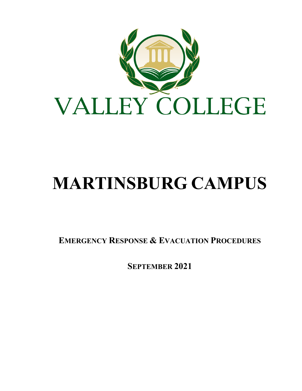

# **MARTINSBURG CAMPUS**

**EMERGENCY RESPONSE & EVACUATION PROCEDURES**

**SEPTEMBER 2021**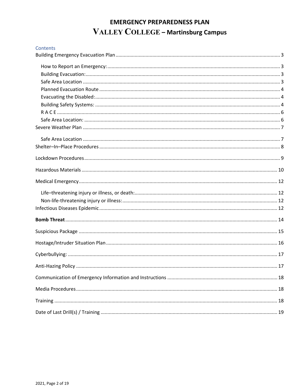# **EMERGENCY PREPAREDNESS PLAN** VALLEY COLLEGE - Martinsburg Campus

| Contents |  |
|----------|--|
|          |  |
|          |  |
|          |  |
|          |  |
|          |  |
|          |  |
|          |  |
|          |  |
|          |  |
|          |  |
|          |  |
|          |  |
|          |  |
|          |  |
|          |  |
|          |  |
|          |  |
|          |  |
|          |  |
|          |  |
|          |  |
|          |  |
|          |  |
|          |  |
|          |  |
|          |  |
|          |  |
|          |  |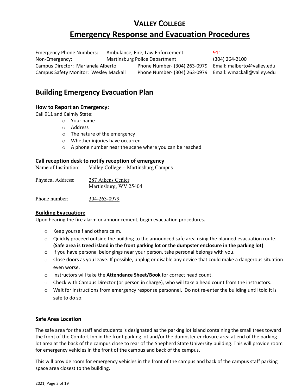# **VALLEY COLLEGE Emergency Response and Evacuation Procedures**

Emergency Phone Numbers: Ambulance, Fire, Law Enforcement 911 Non-Emergency: Martinsburg Police Department (304) 264-2100 Campus Director: Marianela Alberto Phone Number- (304) 263-0979 Email: malberto@valley.edu Campus Safety Monitor: Wesley Mackall Phone Number- (304) 263-0979 Email: wmackall@valley.edu

# <span id="page-2-0"></span>**Building Emergency Evacuation Plan**

# <span id="page-2-1"></span>**How to Report an Emergency:**

Call 911 and Calmly State:

- o Your name
- o Address
- o The nature of the emergency
- o Whether injuries have occurred
- o A phone number near the scene where you can be reached

# **Call reception desk to notify reception of emergency**

| Name of Institution: | Valley College – Martinsburg Campus |  |
|----------------------|-------------------------------------|--|
|                      |                                     |  |

| Physical Address: | 287 Aikens Center     |  |  |
|-------------------|-----------------------|--|--|
|                   | Martinsburg, WV 25404 |  |  |
|                   |                       |  |  |

Phone number: 304-263-0979

# <span id="page-2-2"></span>**Building Evacuation:**

Upon hearing the fire alarm or announcement, begin evacuation procedures.

- o Keep yourself and others calm.
- o Quickly proceed outside the building to the announced safe area using the planned evacuation route. **(Safe area is treed island in the front parking lot or the dumpster enclosure in the parking lot)**
- $\circ$  If you have personal belongings near your person, take personal belongs with you.
- $\circ$  Close doors as you leave. If possible, unplug or disable any device that could make a dangerous situation even worse.
- o Instructors will take the **Attendance Sheet/Book** for correct head count.
- o Check with Campus Director (or person in charge), who will take a head count from the instructors.
- o Wait for instructions from emergency response personnel. Do not re-enter the building until told it is safe to do so.

# <span id="page-2-3"></span>**Safe Area Location**

The safe area for the staff and students is designated as the parking lot island containing the small trees toward the front of the Comfort Inn in the front parking lot and/or the dumpster enclosure area at end of the parking lot area at the back of the campus close to rear of the Shepherd State University building. This will provide room for emergency vehicles in the front of the campus and back of the campus.

This will provide room for emergency vehicles in the front of the campus and back of the campus staff parking space area closest to the building.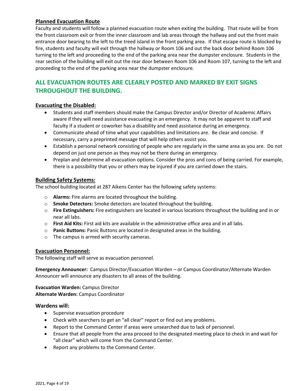# <span id="page-3-0"></span>**Planned Evacuation Route**

Faculty and students will follow a planned evacuation route when exiting the building. That route will be from the front classroom exit or from the inner classroom and lab areas through the hallway and out the front main entrance door bearing to the left to the treed island in the front parking area. If that escape route is blocked by fire, students and faculty will exit through the hallway or Room 106 and out the back door behind Room 106 turning to the left and proceeding to the end of the parking area near the dumpster enclosure. Students in the rear section of the building will exit out the rear door between Room 106 and Room 107, turning to the left and proceeding to the end of the parking area near the dumpster enclosure.

# **ALL EVACUATION ROUTES ARE CLEARLY POSTED AND MARKED BY EXIT SIGNS THROUGHOUT THE BUILDING.**

# <span id="page-3-1"></span>**Evacuating the Disabled:**

- Students and staff members should make the Campus Director and/or Director of Academic Affairs aware if they will need assistance evacuating in an emergency. It may not be apparent to staff and faculty if a student or coworker has a disability and need assistance during an emergency.
- Communicate ahead of time what your capabilities and limitations are. Be clear and concise. If necessary, carry a preprinted message that will help others assist you.
- Establish a personal network consisting of people who are regularly in the same area as you are. Do not depend on just one person as they may not be there during an emergency.
- Preplan and determine all evacuation options. Consider the pros and cons of being carried. For example, there is a possibility that you or others may be injured if you are carried down the stairs.

# <span id="page-3-2"></span>**Building Safety Systems:**

The school building located at 287 Aikens Center has the following safety systems:

- o **Alarms:** Fire alarms are located throughout the building.
- o **Smoke Detectors:** Smoke detectors are located throughout the building.
- o **Fire Extinguishers:** Fire extinguishers are located in various locations throughout the building and in or near all labs.
- o **First Aid Kits:** First aid kits are available in the administrative office area and in all labs.
- o **Panic Buttons:** Panic Buttons are located in designated areas in the building.
- o The campus is armed with security cameras.

# **Evacuation Personnel:**

The following staff will serve as evacuation personnel.

**Emergency Announcer:** Campus Director/Evacuation Warden – or Campus Coordinator/Alternate Warden Announcer will announce any disasters to all areas of the building.

**Evacuation Warden:** Campus Director **Alternate Warden:** Campus Coordinator

#### **Wardens will:**

- Supervise evacuation procedure
- Check with searchers to get an "all clear" report or find out any problems.
- Report to the Command Center if areas were unsearched due to lack of personnel.
- Ensure that all people from the area proceed to the designated meeting place to check in and wait for "all clear" which will come from the Command Center.
- Report any problems to the Command Center.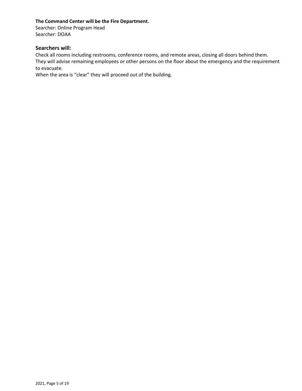# **The Command Center will be the Fire Department.**

Searcher: Online Program Head Searcher: DOAA

# **Searchers will:**

Check all rooms including restrooms, conference rooms, and remote areas, closing all doors behind them. They will advise remaining employees or other persons on the floor about the emergency and the requirement to evacuate.

When the area is "clear" they will proceed out of the building.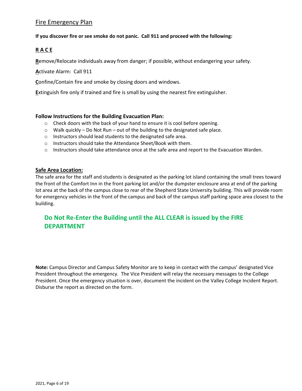# Fire Emergency Plan

# **If you discover fire or see smoke do not panic. Call 911 and proceed with the following:**

# <span id="page-5-0"></span>**R A C E**

**R**emove/Relocate individuals away from danger; if possible, without endangering your safety.

**A**ctivate Alarm: Call 911

**C**onfine/Contain fire and smoke by closing doors and windows.

**E**xtinguish fire only if trained and fire is small by using the nearest fire extinguisher.

# **Follow Instructions for the Building Evacuation Plan:**

- $\circ$  Check doors with the back of your hand to ensure it is cool before opening.
- o Walk quickly Do Not Run out of the building to the designated safe place.
- o Instructors should lead students to the designated safe area.
- o Instructors should take the Attendance Sheet/Book with them.
- $\circ$  Instructors should take attendance once at the safe area and report to the Evacuation Warden.

# <span id="page-5-1"></span>**Safe Area Location:**

The safe area for the staff and students is designated as the parking lot island containing the small trees toward the front of the Comfort Inn in the front parking lot and/or the dumpster enclosure area at end of the parking lot area at the back of the campus close to rear of the Shepherd State University building. This will provide room for emergency vehicles in the front of the campus and back of the campus staff parking space area closest to the building.

# **Do Not Re-Enter the Building until the ALL CLEAR is issued by the FIRE DEPARTMENT**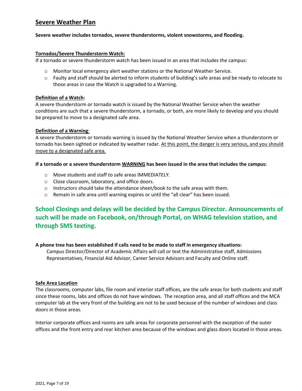# <span id="page-6-0"></span>**Severe Weather Plan**

#### **Severe weather includes tornados, severe thunderstorms, violent snowstorms, and flooding.**

#### **Tornados/Severe Thunderstorm Watch:**

If a tornado or severe thunderstorm watch has been issued in an area that includes the campus:

- $\circ$  Monitor local emergency alert weather stations or the National Weather Service.
- o Faulty and staff should be alerted to inform students of building's safe areas and be ready to relocate to those areas in case the Watch is upgraded to a Warning.

#### **Definition of a Watch:**

A severe thunderstorm or tornado watch is issued by the National Weather Service when the weather conditions are such that a severe thunderstorm, a tornado, or both, are more likely to develop and you should be prepared to move to a designated safe area.

#### **Definition of a Warning**:

A severe thunderstorm or tornado warning is issued by the National Weather Service when a thunderstorm or tornado has been sighted or indicated by weather radar. At this point, the danger is very serious, and you should move to a designated safe area.

#### **If a tornado or a severe thunderstorm WARNING has been issued in the area that includes the campus:**

- o Move students and staff to safe areas IMMEDIATELY.
- o Close classroom, laboratory, and office doors.
- $\circ$  Instructors should take the attendance sheet/book to the safe areas with them.
- o Remain in safe area until warning expires or until the "all clear" has been issued.

# **School Closings and delays will be decided by the Campus Director. Announcements of such will be made on Facebook, on/through Portal, on WHAG television station, and through SMS texting.**

#### **A phone tree has been established if calls need to be made to staff in emergency situations:**

Campus Director/Director of Academic Affairs will call or text the Administrative staff, Admissions Representatives, Financial Aid Advisor, Career Service Advisors and Faculty and Online staff.

#### <span id="page-6-1"></span>**Safe Area Location**

The classrooms, computer labs, file room and interior staff offices, are the safe areas for both students and staff since these rooms, labs and offices do not have windows. The reception area, and all staff offices and the MCA computer lab at the very front of the building are not to be used because of the number of windows and class doors in those areas.

Interior corporate offices and rooms are safe areas for corporate personnel with the exception of the outer offices and the front entry and rear kitchen area because of the windows and glass doors located in those areas.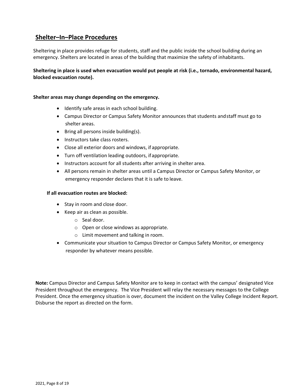# <span id="page-7-0"></span>**Shelter–In–Place Procedures**

Sheltering in place provides refuge for students, staff and the public inside the school building during an emergency. Shelters are located in areas of the building that maximize the safety of inhabitants.

**Sheltering in place is used when evacuation would put people at risk (i.e., tornado, environmental hazard, blocked evacuation route).**

#### **Shelter areas may change depending on the emergency.**

- Identify safe areas in each school building.
- Campus Director or Campus Safety Monitor announces that students andstaff must go to shelter areas.
- Bring all persons inside building(s).
- Instructors take class rosters.
- Close all exterior doors and windows, if appropriate.
- Turn off ventilation leading outdoors, ifappropriate.
- Instructors account for all students after arriving in shelter area.
- All persons remain in shelter areas until a Campus Director or Campus Safety Monitor, or emergency responder declares that it is safe to leave.

#### **If all evacuation routes are blocked:**

- Stay in room and close door.
- Keep air as clean as possible.
	- o Seal door.
	- o Open or close windows as appropriate.
	- o Limit movement and talking in room.
- Communicate your situation to Campus Director or Campus Safety Monitor, or emergency responder by whatever means possible.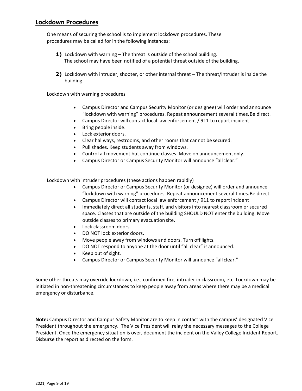# <span id="page-8-0"></span>**Lockdown Procedures**

One means of securing the school is to implement lockdown procedures. These procedures may be called for in the following instances:

- **1)** Lockdown with warning The threat is outside of the school building. The school may have been notified of a potential threat outside of the building.
- **2)** Lockdown with intruder, shooter, or other internal threat The threat/intruder is inside the building.

Lockdown with warning procedures

- Campus Director and Campus Security Monitor (or designee) will order and announce "lockdown with warning" procedures. Repeat announcement several times.Be direct.
- Campus Director will contact local law enforcement / 911 to report incident
- Bring people inside.
- Lock exterior doors.
- Clear hallways, restrooms, and other rooms that cannot be secured.
- Pull shades. Keep students away from windows.
- Control all movement but continue classes. Move on announcementonly.
- Campus Director or Campus Security Monitor will announce "allclear."

Lockdown with intruder procedures (these actions happen rapidly)

- Campus Director or Campus Security Monitor (or designee) will order and announce "lockdown with warning" procedures. Repeat announcement several times.Be direct.
- Campus Director will contact local law enforcement / 911 to report incident
- Immediately direct all students, staff, and visitors into nearest classroom or secured space. Classes that are outside of the building SHOULD NOT enter the building. Move outside classes to primary evacuation site.
- Lock classroom doors.
- DO NOT lock exterior doors.
- Move people away from windows and doors. Turn off lights.
- DO NOT respond to anyone at the door until "all clear" is announced.
- Keep out of sight.
- Campus Director or Campus Security Monitor will announce "all clear."

Some other threats may override lockdown, i.e., confirmed fire, intruder in classroom, etc. Lockdown may be initiated in non-threatening circumstances to keep people away from areas where there may be a medical emergency or disturbance.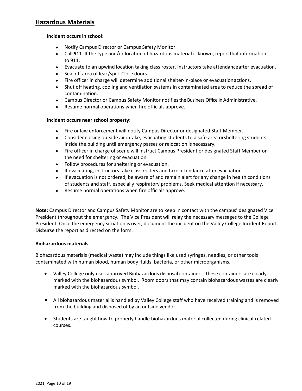# <span id="page-9-0"></span>**Hazardous Materials**

#### **Incident occurs in school:**

- Notify Campus Director or Campus Safety Monitor.
- Call **911**. If the type and/or location of hazardous material is known, reportthat information to 911.
- Evacuate to an upwind location taking class roster. Instructors take attendanceafter evacuation.
- Seal off area of leak/spill. Close doors.
- Fire officer in charge will determine additional shelter-in-place or evacuationactions.
- Shut off heating, cooling and ventilation systems in contaminated area to reduce the spread of contamination.
- Campus Director or Campus Safety Monitor notifiesthe Business Office in Administrative.
- Resume normal operations when fire officials approve.

# **Incident occurs near school property:**

- Fire or law enforcement will notify Campus Director or designated Staff Member.
- Consider closing outside air intake, evacuating students to a safe area orsheltering students inside the building until emergency passes or relocation isnecessary.
- Fire officer in charge of scene will instruct Campus President or designated Staff Member on the need for sheltering or evacuation.
- Follow procedures for sheltering or evacuation.
- If evacuating, instructors take class rosters and take attendance after evacuation.
- If evacuation is not ordered, be aware of and remain alert for any change in health conditions of students and staff, especially respiratory problems. Seek medical attention if necessary.
- Resume normal operations when fire officials approve.

**Note:** Campus Director and Campus Safety Monitor are to keep in contact with the campus' designated Vice President throughout the emergency. The Vice President will relay the necessary messages to the College President. Once the emergency situation is over, document the incident on the Valley College Incident Report. Disburse the report as directed on the form.

# **Biohazardous materials**

Biohazardous materials (medical waste) may include things like used syringes, needles, or other tools contaminated with human blood, human body fluids, bacteria, or other microorganisms.

- Valley College only uses approved Biohazardous disposal containers. These containers are clearly marked with the biohazardous symbol. Room doors that may contain biohazardous wastes are clearly marked with the biohazardous symbol.
- All biohazardous material is handled by Valley College staff who have received training and is removed from the building and disposed of by an outside vendor.
- Students are taught how to properly handle biohazardous material collected during clinical-related courses.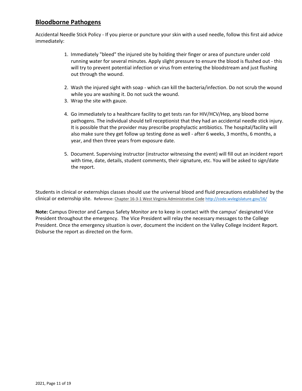# **Bloodborne Pathogens**

Accidental Needle Stick Policy - If you pierce or puncture your skin with a used needle, follow this first aid advice immediately:

- 1. Immediately "bleed" the injured site by holding their finger or area of puncture under cold running water for several minutes. Apply slight pressure to ensure the blood is flushed out - this will try to prevent potential infection or virus from entering the bloodstream and just flushing out through the wound.
- 2. Wash the injured sight with soap which can kill the bacteria/infection. Do not scrub the wound while you are washing it. Do not suck the wound.
- 3. Wrap the site with gauze.
- 4. Go immediately to a healthcare facility to get tests ran for HIV/HCV/Hep, any blood borne pathogens. The individual should tell receptionist that they had an accidental needle stick injury. It is possible that the provider may prescribe prophylactic antibiotics. The hospital/facility will also make sure they get follow up testing done as well - after 6 weeks, 3 months, 6 months, a year, and then three years from exposure date.
- 5. Document. Supervising instructor (instructor witnessing the event) will fill out an incident report with time, date, details, student comments, their signature, etc. You will be asked to sign/date the report.

Students in clinical or externships classes should use the universal blood and fluid precautions established by the clinical or externship site. Reference: Chapter 16-3-1 West Virginia Administrative Code <http://code.wvlegislature.gov/16/>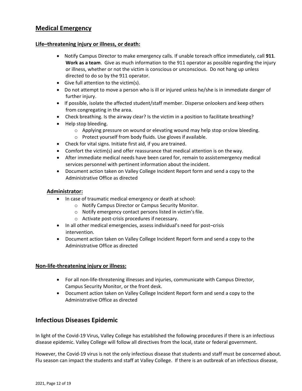# <span id="page-11-0"></span>**Medical Emergency**

# <span id="page-11-1"></span>**Life–threatening injury or illness, or death:**

- Notify Campus Director to make emergency calls. If unable toreach office immediately, call **911**. **Work as a team**. Give as much information to the 911 operator as possible regarding the injury or illness, whether or not the victim is conscious or unconscious. Do not hang up unless directed to do so by the 911 operator.
- Give full attention to the victim(s).
- Do not attempt to move a person who is ill or injured unless he/she is in immediate danger of further injury.
- If possible, isolate the affected student/staff member. Disperse onlookers and keep others from congregating in the area.
- Check breathing. Is the airway clear? Is the victim in a position to facilitate breathing?
- Help stop bleeding.
	- o Applying pressure on wound or elevating wound may help stop orslow bleeding.
	- o Protect yourself from body fluids. Use gloves if available.
- Check for vital signs. Initiate first aid, if you are trained.
- Comfort the victim(s) and offer reassurance that medical attention is on theway.
- After immediate medical needs have been cared for, remain to assistemergency medical services personnel with pertinent information about the incident.
- Document action taken on Valley College Incident Report form and send a copy to the Administrative Office as directed

# **Administrator:**

- In case of traumatic medical emergency or death at school:
	- o Notify Campus Director or Campus Security Monitor.
	- $\circ$  Notify emergency contact persons listed in victim's file.
	- o Activate post-crisis procedures if necessary.
- In all other medical emergencies, assess individual's need for post–crisis intervention.
- Document action taken on Valley College Incident Report form and send a copy to the Administrative Office as directed

# <span id="page-11-2"></span>**Non-life-threatening injury or illness:**

- For all non-life-threatening illnesses and injuries, communicate with Campus Director, Campus Security Monitor, or the front desk.
- Document action taken on Valley College Incident Report form and send a copy to the Administrative Office as directed

# <span id="page-11-3"></span>**Infectious Diseases Epidemic**

In light of the Covid-19 Virus, Valley College has established the following procedures if there is an infectious disease epidemic. Valley College will follow all directives from the local, state or federal government.

However, the Covid-19 virus is not the only infectious disease that students and staff must be concerned about. Flu season can impact the students and staff at Valley College. If there is an outbreak of an infectious disease,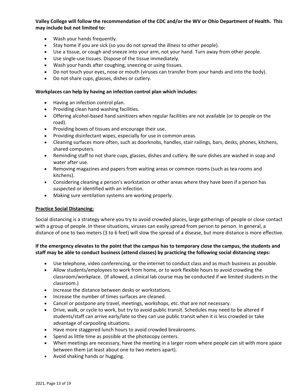**Valley College will follow the recommendation of the CDC and/or the WV or Ohio Department of Health. This may include but not limited to:**

- Wash your hands frequently.
- Stay home if you are sick (so you do not spread the illness to other people).
- Use a tissue, or cough and sneeze into your arm, not your hand. Turn away from other people.
- Use single-use tissues. Dispose of the tissue immediately.
- Wash your hands after coughing, sneezing or using tissues.
- Do not touch your eyes, nose or mouth (viruses can transfer from your hands and into the body).
- Do not share cups, glasses, dishes or cutlery.

#### **Workplaces can help by having an infection control plan which includes:**

- Having an infection control plan.
- Providing clean hand washing facilities.
- Offering alcohol-based hand sanitizers when regular facilities are not available (or to people on the road).
- Providing boxes of tissues and encourage their use.
- Providing disinfectant wipes, especially for use in common areas.
- Cleaning surfaces more often, such as doorknobs, handles, stair railings, bars, desks, phones, kitchens, shared computers.
- Reminding staff to not share cups, glasses, dishes and cutlery. Be sure dishes are washed in soap and water after use.
- Removing magazines and papers from waiting areas or common rooms (such as tea rooms and kitchens).
- Considering cleaning a person's workstation or other areas where they have been if a person has suspected or identified with an infection.
- Making sure ventilation systems are working properly.

# **Practice Social Distancing:**

Social distancing is a strategy where you try to avoid crowded places, large gatherings of people or close contact with a group of people. In these situations, viruses can easily spread from person to person. In general, a distance of one to two meters (3 to 6 feet) will slow the spread of a disease, but more distance is more effective.

# **If the emergency elevates to the point that the campus has to temporary close the campus, the students and staff may be able to conduct business (attend classes) by practicing the following social distancing steps:**

- Use telephone, video conferencing, or the internet to conduct class and as much business as possible.
- Allow students/employees to work from home, or to work flexible hours to avoid crowding the classroom/workplace. (If allowed, a clinical lab course may be conducted if we limited students in the classroom.)
- Increase the distance between desks or workstations.
- Increase the number of times surfaces are cleaned.
- Cancel or postpone any travel, meetings, workshops, etc. that are not necessary.
- Drive, walk, or cycle to work, but try to avoid public transit. Schedules may need to be altered if students/staff can arrive early/late so they can use public transit when it is less crowded or take advantage of carpooling situations.
- Have more staggered lunch hours to avoid crowded breakrooms.
- Spend as little time as possible at the photocopy centers.
- When meetings are necessary, have the meeting in a larger room where people can sit with more space between them (at least about one to two meters apart).
- Avoid shaking hands or hugging.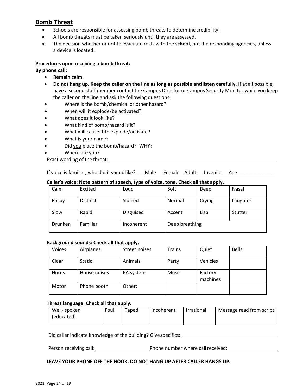# <span id="page-13-0"></span>**Bomb Threat**

- Schools are responsible for assessing bomb threats to determine credibility.
- All bomb threats must be taken seriously until they are assessed.
- The decision whether or not to evacuate rests with the **school**, not the responding agencies, unless a device islocated.

# **Procedures upon receiving a bomb threat:**

#### **By phone call:**

- **Remain calm.**
- **Do not hang up. Keep the caller on the line as long as possible andlisten carefully.** If at all possible, have a second staff member contact the Campus Director or Campus Security Monitor while you keep the caller on the line and ask the following questions:
- Where is the bomb/chemical or other hazard?
- When will it explode/be activated?
- What does it look like?
- What kind of bomb/hazard is it?
- What will cause it to explode/activate?
- What is your name?
- Did you place the bomb/hazard? WHY?
- Where are you?
- Exact wording of the threat:

If voice is familiar, who did it sound like? \_\_\_Male Female Adult Juvenile Age

# **Caller's voice: Note pattern of speech, type of voice, tone. Check all that apply.**

|         |                 |                  |                | .      |          |
|---------|-----------------|------------------|----------------|--------|----------|
| Calm    | Excited         | Loud             | Soft           | Deep   | Nasal    |
| Raspy   | <b>Distinct</b> | Slurred          | Normal         | Crying | Laughter |
| Slow    | Rapid           | <b>Disguised</b> | Accent         | Lisp   | Stutter  |
| Drunken | Familiar        | Incoherent       | Deep breathing |        |          |

#### **Background sounds: Check all that apply.**

| Voices       | Airplanes     | Street noises | <b>Trains</b> | Quiet               | <b>Bells</b> |
|--------------|---------------|---------------|---------------|---------------------|--------------|
| Clear        | <b>Static</b> | Animals       | Party         | Vehicles            |              |
| <b>Horns</b> | House noises  | PA system     | <b>Music</b>  | Factory<br>machines |              |
| Motor        | Phone booth   | Other:        |               |                     |              |

#### **Threat language: Check all that apply.**

| Well-spoken | Foul | Taped | Incoherent | Irrational | Message read from script |
|-------------|------|-------|------------|------------|--------------------------|
| (educated)  |      |       |            |            |                          |
|             |      |       |            |            |                          |

Did caller indicate knowledge of the building? Givespecifics:

Person receiving call:  $\qquad \qquad$  Phone number where call received:

#### **LEAVE YOUR PHONE OFF THE HOOK. DO NOT HANG UP AFTER CALLER HANGS UP.**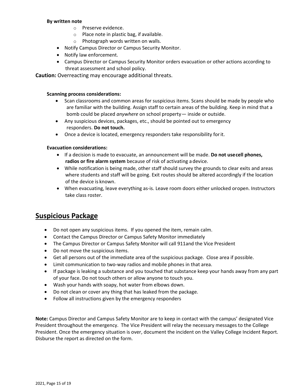#### **By written note**

- o Preserve evidence.
- o Place note in plastic bag, if available.
- o Photograph words written on walls.
- Notify Campus Director or Campus Security Monitor.
- Notify law enforcement.
- Campus Director or Campus Security Monitor orders evacuation or other actions according to threat assessment and school policy.

**Caution:** Overreacting may encourage additional threats.

#### **Scanning process considerations:**

- Scan classrooms and common areas for suspicious items. Scans should be made by people who are familiar with the building. Assign staff to certain areas of the building. Keep in mind that a bomb could be placed *anywhere* on school property— inside or outside.
- Any suspicious devices, packages, etc., should be pointed out to emergency responders. **Do not touch.**
- Once a device is located, emergency responders take responsibility forit.

# **Evacuation considerations:**

- If a decision is made to evacuate, an announcement will be made. **Do not usecell phones, radios or fire alarm system** because of risk of activating a device.
- While notification is being made, other staff should survey the grounds to clear exits and areas where students and staff will be going. Exit routes should be altered accordingly if the location of the device is known.
- When evacuating, leave everything as-is. Leave room doors either unlocked oropen. Instructors take class roster.

# <span id="page-14-0"></span>**Suspicious Package**

- Do not open any suspicious items. If you opened the item, remain calm.
- Contact the Campus Director or Campus Safety Monitor immediately
- The Campus Director or Campus Safety Monitor will call 911and the Vice President
- Do not move the suspicious items.
- Get all persons out of the immediate area of the suspicious package. Close area if possible.
- Limit communication to two-way radios and mobile phones in that area.
- If package is leaking a substance and you touched that substance keep your hands away from any part of your face. Do not touch others or allow anyone to touch you.
- Wash your hands with soapy, hot water from elbows down.
- Do not clean or cover any thing that has leaked from the package.
- Follow all instructions given by the emergency responders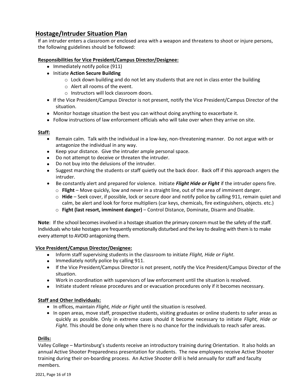# <span id="page-15-0"></span>**Hostage/Intruder Situation Plan**

If an intruder enters a classroom or enclosed area with a weapon and threatens to shoot or injure persons, the following guidelines should be followed:

# **Responsibilities for Vice President/Campus Director/Designee:**

- Immediately notify police (911)
- Initiate **Action Secure Building**
	- $\circ$  Lock down building and do not let any students that are not in class enter the building
	- o Alert all rooms of the event.
	- o Instructors will lock classroom doors.
- If the Vice President/Campus Director is not present, notify the Vice President/Campus Director of the situation.
- Monitor hostage situation the best you can without doing anything to exacerbate it.
- Follow instructions of law enforcement officials who will take over when they arrive on site.

# **Staff:**

- Remain calm. Talk with the individual in a low-key, non-threatening manner. Do not argue with or antagonize the individual in any way.
- Keep your distance. Give the intruder ample personal space.
- Do not attempt to deceive or threaten the intruder.
- Do not buy into the delusions of the intruder.
- Suggest marching the students or staff quietly out the back door. Back off if this approach angers the intruder.
- Be constantly alert and prepared for violence. Initiate *Flight Hide or Fight* if the intruder opens fire.
	- o **Flight** Move quickly, low and never in a straight line, out of the area of imminent danger.
	- o **Hide** Seek cover, if possible, lock or secure door and notify police by calling 911, remain quiet and calm, be alert and look for force multipliers (car keys, chemicals, fire extinguishers, objects. etc.)
	- o **Fight (last resort, imminent danger)** Control Distance, Dominate, Disarm and Disable.

**Note**: If the school becomes involved in a hostage situation the primary concern must be the safety of the staff. Individuals who take hostages are frequently emotionally disturbed and the key to dealing with them is to make every attempt to AVOID antagonizing them.

# **Vice President/Campus Director/Designee:**

- Inform staff supervising students in the classroom to initiate *Flight, Hide or Fight*.
- Immediately notify police by calling 911.
- If the Vice President/Campus Director is not present, notify the Vice President/Campus Director of the situation.
- Work in coordination with supervisors of law enforcement until the situation is resolved.
- Initiate student release procedures and or evacuation procedures only if it becomes necessary.

# **Staff and Other Individuals:**

- In offices, maintain *Flight, Hide or Fight* until the situation is resolved.
- In open areas, move staff, prospective students, visiting graduates or online students to safer areas as quickly as possible. Only in extreme cases should it become necessary to initiate *Flight, Hide or Fight*. This should be done only when there is no chance for the individuals to reach safer areas.

# **Drills:**

Valley College – Martinsburg's students receive an introductory training during Orientation. It also holds an annual Active Shooter Preparedness presentation for students. The new employees receive Active Shooter training during their on-boarding process. An Active Shooter drill is held annually for staff and faculty members.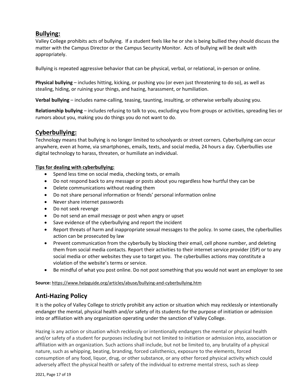# **Bullying:**

Valley College prohibits acts of bullying. If a student feels like he or she is being bullied they should discuss the matter with the Campus Director or the Campus Security Monitor. Acts of bullying will be dealt with appropriately.

Bullying is repeated aggressive behavior that can be physical, verbal, or relational, in-person or online.

**Physical bullying** – includes hitting, kicking, or pushing you (or even just threatening to do so), as well as stealing, hiding, or ruining your things, and hazing, harassment, or humiliation.

**Verbal bullying** – includes name-calling, teasing, taunting, insulting, or otherwise verbally abusing you.

**Relationship bullying** – includes refusing to talk to you, excluding you from groups or activities, spreading lies or rumors about you, making you do things you do not want to do.

# <span id="page-16-0"></span>**Cyberbullying:**

Technology means that bullying is no longer limited to schoolyards or street corners. Cyberbullying can occur anywhere, even at home, via smartphones, emails, texts, and social media, 24 hours a day. Cyberbullies use digital technology to harass, threaten, or humiliate an individual.

# **Tips for dealing with cyberbullying:**

- Spend less time on social media, checking texts, or emails
- Do not respond back to any message or posts about you regardless how hurtful they can be
- Delete communications without reading them
- Do not share personal information or friends' personal information online
- Never share internet passwords
- Do not seek revenge
- Do not send an email message or post when angry or upset
- Save evidence of the cyberbullying and report the incident
- Report threats of harm and inappropriate sexual messages to the policy. In some cases, the cyberbullies action can be prosecuted by law
- Prevent communication from the cyberbully by blocking their email, cell phone number, and deleting them from social media contacts. Report their activities to their internet service provider (ISP) or to any social media or other websites they use to target you. The cyberbullies actions may constitute a violation of the website's terms or service.
- Be mindful of what you post online. Do not post something that you would not want an employer to see

# **Source:** https://www.helpguide.org/articles/abuse/bullying-and-cyberbullying.htm

# <span id="page-16-1"></span>**Anti-Hazing Policy**

It is the policy of Valley College to strictly prohibit any action or situation which may recklessly or intentionally endanger the mental, physical health and/or safety of its students for the purpose of initiation or admission into or affiliation with any organization operating under the sanction of Valley College.

Hazing is any action or situation which recklessly or intentionally endangers the mental or physical health and/or safety of a student for purposes including but not limited to initiation or admission into, association or affiliation with an organization. Such actions shall include, but not be limited to, any brutality of a physical nature, such as whipping, beating, branding, forced calisthenics, exposure to the elements, forced consumption of any food, liquor, drug, or other substance, or any other forced physical activity which could adversely affect the physical health or safety of the individual to extreme mental stress, such as sleep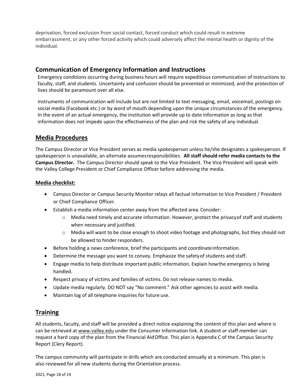deprivation, forced exclusion from social contact, forced conduct which could result in extreme embarrassment, or any other forced activity which could adversely affect the mental health or dignity of the individual.

# <span id="page-17-0"></span>**Communication of Emergency Information and Instructions**

Emergency conditions occurring during business hours will require expeditious communication of instructions to faculty, staff, and students. Uncertainty and confusion should be prevented or minimized, and the protection of lives should be paramount over all else.

Instruments of communication will include but are not limited to text messaging, email, voicemail, postings on social media (Facebook etc.) or by word of mouth depending upon the unique circumstances of the emergency. In the event of an actual emergency, the institution will provide up to date information as long as that information does not impede upon the effectiveness of the plan and risk the safety of any individual.

# <span id="page-17-1"></span>**Media Procedures**

The Campus Director or Vice President serves as media spokesperson unless he/she designates a spokesperson. If spokesperson is unavailable, an alternate assumesresponsibilities. **All staff should refer media contacts to the Campus Director.** The Campus Director should speak to the Vice President. The Vice President will speak with the Valley College President or Chief Compliance Officer before addressing the media.

# **Media checklist:**

- Campus Director or Campus Security Monitor relays all factual information to Vice President / President or Chief Compliance Officer.
- Establish a media information center away from the affected area. Consider:
	- $\circ$  Media need timely and accurate information. However, protect the privacy of staff and students when necessary and justified.
	- o Media will want to be close enough to shoot video footage and photographs, but they should not be allowed to hinder responders.
- Before holding a news conference, brief the participants and coordinate information.
- Determine the message you want to convey. Emphasize the safetyof students and staff.
- Engage media to help distribute important public information. Explain howthe emergency is being handled.
- Respect privacy of victims and families of victims. Do not release names to media.
- Update media regularly. DO NOT say "No comment." Ask other agencies to assist with media.
- Maintain log of all telephone inquiries for future use.

# <span id="page-17-2"></span>**Training**

All students, faculty, and staff will be provided a direct notice explaining the content of this plan and where is can be retrieved at www.valley.edu under the Consumer Information link. A student or staff member can request a hard copy of the plan from the Financial AidOffice. This plan is Appendix C of the Campus Security Report (Clery Report).

The campus community will participate in drills which are conducted annually at a minimum. This plan is also reviewed for all new students during the Orientation process.